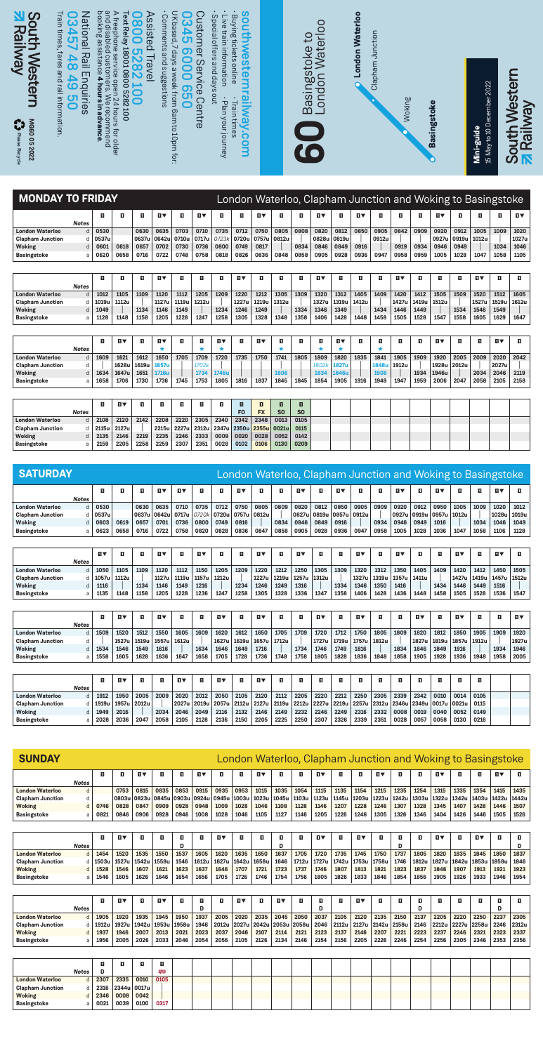

| <b>MONDAY TO FRIDAY</b> |              |       |       |       |           |       |           |       |       |           |       |      | London Waterloo, Clapham Junction and Woking to Basingstoke |       |       |       |           |       |           |       |       |           |            |
|-------------------------|--------------|-------|-------|-------|-----------|-------|-----------|-------|-------|-----------|-------|------|-------------------------------------------------------------|-------|-------|-------|-----------|-------|-----------|-------|-------|-----------|------------|
|                         | <b>Notes</b> | п     | п     | п     | <b>HV</b> | п     | <b>NV</b> | п     | п     | <b>HV</b> | п     | п    | ПV                                                          | п     | 1V    | п     | п         | п     | <b>HV</b> | п.    | п     | п         | <b>IIV</b> |
| <b>London Waterloo</b>  | $\mathsf{d}$ | 0530  |       | 0630  | 0635      | 0703  | 0710      | 0735  | 0712  | 0750      | 0805  | 0808 | 0820                                                        | 0812  | 0850  | 0905  | 0842      | 0909  | 0920      | 0912  | 1005  | 1009      | 1020       |
| <b>Clapham Junction</b> | d.           | 0537u |       | 0637u | 0642u     | 0710u | 0717u     | 07231 | 0720u | 0757u     | 0812u |      | 0828u                                                       | 0819u |       | 0912u |           |       | 0927u     | 0919u | 1012u |           | 1027u      |
| <b>Woking</b>           | d            | 0601  | 0618  | 0657  | 0702      | 0730  | 0736      | 0800  | 0749  | 0817      |       | 0834 | 0846                                                        | 0849  | 0916  |       | 0919      | 0934  | 0946      | 0949  |       | 1034      | 1046       |
| <b>Basingstoke</b>      | a            | 0620  | 0658  | 0716  | 0722      | 0748  | 0758      | 0818  | 0826  | 0836      | 0848  | 0858 | 0905                                                        | 0928  | 0936  | 0947  | 0958      | 0959  | 1005      | 1028  | 1047  | 1058      | 1105       |
|                         |              |       |       |       |           |       |           |       |       |           |       |      |                                                             |       |       |       |           |       |           |       |       |           |            |
|                         |              | п     | п     | п     | ПV        | п     | п         | п     | ū۷    | п         | п     | п    | <b>HV</b>                                                   | п     | п     | п     | <b>HV</b> | п     | п         | п     | ū۷    | п         | п          |
|                         | <b>Notes</b> |       |       |       |           |       |           |       |       |           |       |      |                                                             |       |       |       |           |       |           |       |       |           |            |
| <b>London Waterloo</b>  | H            | 1012  | 1105  | 1109  | 1120      | 1112  | 1205      | 1209  | 1220  | 1212      | 1305  | 1309 | 1320                                                        | 1312  | 1405  | 1409  | 1420      | 1412  | 1505      | 1509  | 1520  | 1512      | 1605       |
| <b>Clapham Junction</b> | d            | 1019u | 1112u |       | 1127u     | 1119u | 1212u     |       | 1227u | 1219u     | 1312u |      | 1327u                                                       | 1319u | 1412u |       | 1427u     | 1419u | 1512u     |       | 1527u | 1519u     | 1612u      |
| Woking                  | d            | 1049  |       | 1134  | 1146      | 1149  |           | 1234  | 1246  | 1249      |       | 1334 | 1346                                                        | 1349  |       | 1434  | 1446      | 1449  |           | 1534  | 1546  | 1549      |            |
| <b>Basingstoke</b>      | a            | 1128  | 1148  | 1158  | 1205      | 1228  | 1247      | 1258  | 1305  | 1328      | 1348  | 1358 | 1406                                                        | 1428  | 1448  | 1458  | 1505      | 1528  | 1547      | 1558  | 1605  | 1629      | 1647       |
|                         |              |       |       |       |           |       |           |       |       |           |       |      |                                                             |       |       |       |           |       |           |       |       |           |            |
|                         |              | п     | ПV    | п     | ПV        | п     | п         | ū۷    | п     | ПV        | п     | п    | п                                                           | ПV    | п     | п     | п         | п     | <b>HV</b> | п     | п     | <b>HV</b> | п          |
|                         | <b>Notes</b> |       |       |       |           |       |           | *     |       |           | ٠     |      |                                                             |       |       |       |           |       |           |       |       |           |            |
| <b>London Waterloo</b>  | d            | 1609  | 1621  | 1612  | 1650      | 1705  | 1709      | 1720  | 1735  | 1750      | 1741  | 1805 | 1809                                                        | 1820  | 1835  | 1841  | 1905      | 1909  | 1920      | 2005  | 2009  | 2020      | 2042       |
| <b>Clapham Junction</b> | d            |       | 1628u | 1619u | 1657u     |       | 1702k     |       |       |           |       |      | 1802k                                                       | 1827u |       | 1848u | 1912u     |       | 1928u     | 2012u |       | 2027u     |            |
| <b>Woking</b>           | d            | 1634  | 1647u | 1651  | 1716u     |       | 1734      | 1746u |       |           | 1806  |      | 1834                                                        | 1846u |       | 1908  |           | 1934  | 1946u     |       | 2034  | 2046      | 2119       |
| <b>Basingstoke</b>      | a            | 1658  | 1706  | 1730  | 1736      | 1745  | 1753      | 1805  | 1816  | 1837      | 1845  | 1845 | 1854                                                        | 1905  | 1916  | 1949  | 1947      | 1959  | 2006      | 2047  | 2058  | 2105      | 2158       |

|                         |              |           | <b>NV</b> |      |      |      |      |      |      |           |                                           |                |  |  |  |  |  |  |
|-------------------------|--------------|-----------|-----------|------|------|------|------|------|------|-----------|-------------------------------------------|----------------|--|--|--|--|--|--|
|                         | <b>Notes</b> |           |           |      |      |      |      |      | FO   | <b>FX</b> | <b>SO</b>                                 | S <sub>0</sub> |  |  |  |  |  |  |
| <b>London Waterloo</b>  |              | 2108      | 2120      | 2142 | 2208 | 2220 | 2305 | 2340 | 2342 | 2348      | 0013                                      | 0105           |  |  |  |  |  |  |
| <b>Clapham Junction</b> |              | d   2115u | 2127u     |      |      |      |      |      |      |           | 2215u 2227u 2312u 2347u 2350u 2355u 0021u | 0115           |  |  |  |  |  |  |
| Woking                  |              | d   2135  | 2146      | 2219 | 2235 | 2246 | 2333 | 0009 | 0020 | 0028      | 0052                                      | 0142           |  |  |  |  |  |  |
| Basingstoke             |              | 2159      | 2205      | 2258 | 2259 | 2307 | 2351 | 0028 | 0102 | 0106      | 0130                                      | 0209           |  |  |  |  |  |  |

| MG6005<br>ation<br><b>CA</b> Please Recycle<br>2022 |                   | pueuu<br>vance. | rs for older |              |              | n to 10pm for: | ര്           | vour journey | times<br><b>V.com</b> |                |                     | 10                          |           |         |            |       |           |       | <b>Basings</b> |            | 15 May to 10 De<br>Mini-guide |                                                             | <b>Raily</b><br>South<br><b>Pail</b> |
|-----------------------------------------------------|-------------------|-----------------|--------------|--------------|--------------|----------------|--------------|--------------|-----------------------|----------------|---------------------|-----------------------------|-----------|---------|------------|-------|-----------|-------|----------------|------------|-------------------------------|-------------------------------------------------------------|--------------------------------------|
| <b>MONDAY TO FRIDAY</b>                             |                   |                 |              |              |              |                |              |              |                       |                |                     |                             |           |         |            |       |           |       |                |            |                               | London Waterloo, Clapham Junction and Woking to Basingstoke |                                      |
|                                                     |                   | O               | п            | п            | ū۷           | п              | <b>DV</b>    | п            | E.                    | ū۷             | E.                  | D.                          | <b>NV</b> | п       | <b>NV</b>  | п     | E.        | E.    | ū۷             | п          | п                             | п                                                           | ū۷                                   |
| <b>London Waterloo</b>                              | <b>Notes</b><br>d | 0530            |              | 0630         | 0635         | 0703           | 0710         | 0735         | 0712                  | 0750           | 0805                | 0808                        | 0820      | 0812    | 0850       | 0905  | 0842      | 0909  | 0920           | 0912       | 1005                          | 1009                                                        | 1020                                 |
| <b>Clapham Junction</b>                             | d                 | 0537u           |              | 0637u        | 0642u        | 0710u          | 0717u        | 0723k        | 0720u                 | 0757u          | 0812u               |                             | 0828u     | 0819u   |            | 0912u |           |       | 0927u          | 0919u      | 1012u                         |                                                             | 1027u                                |
| Woking                                              | d                 | 0601            | 0618         | 0657         | 0702         | 0730           | 0736         | 0800         | 0749                  | 0817           |                     | 0834                        | 0846      | 0849    | 0916       |       | 0919      | 0934  | 0946           | 0949       |                               | 1034                                                        | 1046                                 |
| <b>Basingstoke</b>                                  | a                 | 0620            | 0658         | 0716         | 0722         | 0748           | 0758         | 0818         | 0826                  | 0836           | 0848                | 0858                        | 0905      | 0928    | 0936       | 0947  | 0958      | 0959  | 1005           | 1028       | 1047                          | 1058                                                        | 1105                                 |
|                                                     |                   | ū               | п            | ū            | Ω▼           | п              | п            | п            | ū۷                    | п              | п                   | п                           | ū۷        | п       | п          | п     | Ω▼        | п     | п              | п          | ū۷                            | п                                                           | ū                                    |
| <b>London Waterloo</b>                              | Notes             | 1012            | 1105         | 1109         | 1120         | 1112           | 1205         | 1209         | 1220                  | 1212           | 1305                | 1309                        | 1320      | 1312    | 1405       | 1409  | 1420      | 1412  | 1505           | 1509       | 1520                          | 1512                                                        | 1605                                 |
| <b>Clapham Junction</b>                             | d<br>d            | 1019u           | 1112u        |              | 1127u        | 1119u          | 1212u        |              | 1227u                 | 1219u          | 1312u               |                             | 1327u     | 1319u   | 1412u      |       | 1427u     | 1419u | 1512u          |            | 1527u                         | 1519u                                                       | 1612u                                |
| Woking                                              | d                 | 1049            |              | 1134         | 1146         | 1149           |              | 1234         | 1246                  | 1249           |                     | 1334                        | 1346      | 1349    |            | 1434  | 1446      | 1449  |                | 1534       | 1546                          | 1549                                                        |                                      |
| <b>Basingstoke</b>                                  | a                 | 1128            | 1148         | 1158         | 1205         | 1228           | 1247         | 1258         | 1305                  | 1328           | 1348                | 1358                        | 1406      | 1428    | 1448       | 1458  | 1505      | 1528  | 1547           | 1558       | 1605                          | 1629                                                        | 1647                                 |
|                                                     |                   |                 |              |              |              |                |              |              |                       |                |                     |                             |           |         |            |       |           |       |                |            |                               |                                                             |                                      |
|                                                     | <b>Notes</b>      | ū               | ū۷           | п            | ū۷           | п              | п            | ū۷           | п                     | ū۷             | п                   | п                           | п<br>★    | ū۷<br>* | п          | п     | п         | п     | Π₩             | п          | п                             | Π₩                                                          | п                                    |
| <b>London Waterloo</b>                              | d                 | 1609            | 1621         | 1612         | 1650         | 1705           | 1709         | 1720         | 1735                  | 1750           | 1741                | 1805                        | 1809      | 1820    | 1835       | 1841  | 1905      | 1909  | 1920           | 2005       | 2009                          | 2020                                                        | 2042                                 |
| <b>Clapham Junction</b>                             | d                 |                 | 1628u        | 1619u        | 1657u        |                | 17021        |              |                       |                |                     |                             | 1802k     | 1827u   |            | 1848u | 1912u     |       | 1928u          | 2012u      |                               | 2027u                                                       |                                      |
| Woking                                              | d                 | 1634            | 1647u        | 1651         | 1716u        |                | 1734         | 1746u        |                       |                | 1806                |                             | 1834      | 1846u   |            | 1908  |           | 1934  | 1946u          |            | 2034                          | 2046                                                        | 2119                                 |
| <b>Basingstoke</b>                                  | a                 | 1658            | 1706         | 1730         | 1736         | 1745           | 1753         | 1805         | 1816                  | 1837           | 1845                | 1845                        | 1854      | 1905    | 1916       | 1949  | 1947      | 1959  | 2006           | 2047       | 2058                          | 2105                                                        | 2158                                 |
|                                                     |                   |                 |              |              |              |                |              |              |                       |                |                     |                             |           |         |            |       |           |       |                |            |                               |                                                             |                                      |
|                                                     | <b>Notes</b>      | п               | ū۷           | п            | п            | п              | п            | п            | E.<br>F <sub>0</sub>  | n<br><b>FX</b> | n<br>S <sub>O</sub> | $\blacksquare$<br><b>SO</b> |           |         |            |       |           |       |                |            |                               |                                                             |                                      |
| <b>London Waterloo</b>                              | d                 | 2108            | 2120         | 2142         | 2208         | 2220           | 2305         | 2340         | 2342                  | 2348           | 0013                | 0105                        |           |         |            |       |           |       |                |            |                               |                                                             |                                      |
| Clapham Junction                                    | d                 | 2115u           | 2127u        |              | 2215u        | 2227u          | 2312u        | 2347u        | 2350u                 | 2355u          | 0021u               | 0115                        |           |         |            |       |           |       |                |            |                               |                                                             |                                      |
| <b>Woking</b><br><b>Basingstoke</b>                 | d<br>a            | 2135<br>2159    | 2146<br>2205 | 2219<br>2258 | 2235<br>2259 | 2246<br>2307   | 2333<br>2351 | 0009<br>0028 | 0020<br>0102          | 0028<br>0106   | 0052<br>0130        | 0142<br>0209                |           |         |            |       |           |       |                |            |                               |                                                             |                                      |
|                                                     |                   |                 |              |              |              |                |              |              |                       |                |                     |                             |           |         |            |       |           |       |                |            |                               |                                                             |                                      |
|                                                     |                   |                 |              |              |              |                |              |              |                       |                |                     |                             |           |         |            |       |           |       |                |            |                               |                                                             |                                      |
| <b>SATURDAY</b>                                     |                   |                 |              |              |              |                |              |              |                       |                |                     |                             |           |         |            |       |           |       |                |            |                               | London Waterloo, Clapham Junction and Woking to Basingstoke |                                      |
|                                                     |                   | 1               | п            | п            | ū۷           | ū۷             | п            | п            | ū۷                    | п              | п                   | Ω▼                          | п         | Ω▼      | п          | п     | Ω▼        | п     | Π₩             | п          | п                             | π₹                                                          | п                                    |
| <b>London Waterloo</b>                              | <b>Notes</b><br>d | 0530            |              | 0630         | 0635         | 0710           | 0735         | 0712         | 0750                  | 0805           | 0809                | 0820                        | 0812      | 0850    | 0905       | 0909  | 0920      | 0912  | 0950           | 1005       | 1009                          | 1020                                                        | 1012                                 |
| <b>Clapham Junction</b>                             | d                 | 0537u           |              | 0637u        | 0642u        | 0717u          | 0720k        | 0720u        | 0757u                 | 0812u          |                     | 0827u                       | 0819u     | 0857u   | 0912u      |       | 0927u     | 0919u | 0957u          | 1012u      |                               | 1028u                                                       | 1019u                                |
| Woking                                              | d                 | 0603            | 0619         | 0657         | 0701         | 0736           | 0800         | 0749         | 0816                  |                | 0834                | 0846                        | 0849      | 0916    |            | 0934  | 0946      | 0949  | 1016           |            | 1034                          | 1046                                                        | 1049                                 |
| <b>Basingstoke</b>                                  | a                 | 0623            | 0658         | 0716         | 0722         | 0758           | 0820         | 0828         | 0836                  | 0847           | 0858                | 0905                        | 0928      | 0936    | 0947       | 0958  | 1005      | 1028  | 1036           | 1047       | 1058                          | 1106                                                        | 1128                                 |
|                                                     |                   |                 |              |              |              |                |              |              |                       |                |                     |                             |           |         |            |       |           |       |                |            |                               |                                                             |                                      |
|                                                     | <b>Notes</b>      | <b>IIV</b>      | D.           | D.           | <b>IIV</b>   | Đ,             | <b>IIV</b>   | п            | ū                     | ū۷             | п                   | <b>DV</b>                   | Đ,        | п       | <b>IIV</b> | п     | <b>DV</b> | п     | D.             | <b>IIV</b> | п                             | <b>IIV</b>                                                  | п                                    |
| <b>London Waterloo</b>                              | d                 | 1050            | 1105         | 1109         | 1120         | 1112           | 1150         | 1205         | 1209                  | 1220           | 1212                | 1250                        | 1305      | 1309    | 1320       | 1312  | 1350      | 1405  | 1409           | 1420       | 1412                          | 1450                                                        | 1505                                 |
| <b>Clapham Junction</b>                             | d                 | 1057u           | 1112u        |              | 1127u        | 1119u          | 1157u        | 1212u        |                       | 1227u          | 1219u               | 1257u                       | 1312u     |         | 1327u      | 1319u | 1357u     | 1411u |                | 1427u      | 1419u                         | 1457u                                                       | 1512u                                |
| Woking                                              | d                 | 1116            |              | 1134         | 1146         | 1149           | 1216         |              | 1234                  | 1246           | 1249                | 1316                        |           | 1334    | 1346       | 1350  | 1416      |       | 1434           | 1446       | 1449                          | 1516                                                        |                                      |
| <b>Basingstoke</b>                                  | a                 | 1135            | 1148         | 1158         | 1205         | 1228           | 1236         | 1247         | 1258                  | 1305           | 1328                | 1336                        | 1347      | 1358    | 1406       | 1428  | 1436      | 1448  | 1458           | 1505       | 1528                          | 1536                                                        | 1547                                 |
|                                                     |                   |                 |              |              |              |                |              |              |                       |                |                     |                             |           |         |            |       |           |       |                |            |                               |                                                             |                                      |
|                                                     |                   | 1               | i v          | п            | ū۷           | ū              | п            | ū۷           | ū                     | π▼             | п                   | п                           | ū۷        | п       | ū۷         | п     | п         | π▼    | п              | π▼         | п                             | п                                                           | ß۷                                   |
| <b>London Waterloo</b>                              | d                 | 1509            | 1520         | 1512         | 1550         | 1605           | 1609         | 1620         | 1612                  | 1650           | 1705                | 1709                        | 1720      | 1712    | 1750       | 1805  | 1809      | 1820  | 1812           | 1850       | 1905                          | 1909                                                        | 1920                                 |
| <b>Clapham Junction</b>                             | d                 |                 | 1527u        | 1519u        | 1557u        | 1612u          |              | 1627u        | 1619u                 | 1657u          | 1712u               |                             | 1727u     | 1719u   | 1757u      | 1812u |           | 1827u | 1819u          | 1857u      | 1912u                         |                                                             | 1927u                                |
| <b>Woking</b>                                       | d                 | 1534            | 1546         | 1549         | 1616         |                | 1634         | 1646         | 1649                  | 1716           |                     | 1734                        | 1746      | 1749    | 1816       |       | 1834      | 1846  | 1849           | 1916       |                               | 1934                                                        | 1946                                 |
| <b>Basingstoke</b>                                  | a                 | 1558            | 1605         | 1628         | 1636         | 1647           | 1658         | 1705         | 1728                  | 1736           | 1748                | 1758                        | 1805      | 1828    | 1836       | 1848  | 1858      | 1905  | 1928           | 1936       | 1948                          | 1958                                                        | 2005                                 |
|                                                     |                   |                 |              |              |              |                |              |              |                       |                |                     |                             |           |         |            |       |           |       |                |            |                               |                                                             |                                      |
|                                                     |                   | I.              | Ω▼           | п            | п            | Π₩             | п            | Ω▼           | п                     | Ω▼             | п                   | п                           | п         | п       | п          | п     | п         | п     | п              | п          | п                             |                                                             |                                      |
| <b>London Waterloo</b>                              | <b>Notes</b><br>d | 1912            | 1950         | 2005         | 2009         | 2020           | 2012         | 2050         | 2105                  | 2120           | 2112                | 2205                        | 2220      | 2212    | 2250       | 2305  | 2339      | 2342  | 0010           | 0014       | 0105                          |                                                             |                                      |
| <b>Clapham Junction</b>                             | d                 | 1919u           | 1957u        | 2012u        |              | 2027u          | 2019u        | 2057u        | 2112u                 | 2127u          | 2119u               | 2212u                       | 2227u     | 2219u   | 2257u      | 2312u | 2346u     | 2349u | 0017u          | 0021u      | 0115                          |                                                             |                                      |
| <b>Woking</b>                                       | d                 | 1949            | 2016         |              | 2034         | 2046           | 2049         | 2116         | 2132                  | 2146           | 2149                | 2232                        | 2246      | 2249    | 2316       | 2332  | 0008      | 0019  | 0040           | 0052       | 0149                          |                                                             |                                      |
| <b>Basingstoke</b>                                  | a                 | 2028            | 2036         | 2047         | 2058         | 2105           | 2128         | 2136         | 2150                  | 2205           | 2225                | 2250                        | 2307      | 2326    | 2339       | 2351  | 0028      | 0057  | 0058           | 0130       | 0216                          |                                                             |                                      |

| <b>SUNDAY</b>           |              |       |           |           |           |       |            |       |       |           |           |       |           |       | London Waterloo, Clapham Junction and Woking to Basingstoke |       |       |       |           |       |       |           |       |
|-------------------------|--------------|-------|-----------|-----------|-----------|-------|------------|-------|-------|-----------|-----------|-------|-----------|-------|-------------------------------------------------------------|-------|-------|-------|-----------|-------|-------|-----------|-------|
|                         |              | п     | п         | <b>DV</b> | п         | п     | <b>IIV</b> | п     | п     | <b>DV</b> | п         | п     | <b>HV</b> | п     | п                                                           | ū۷    | п     | п     | <b>HV</b> | п     | п     | <b>HV</b> | п     |
|                         | <b>Notes</b> |       |           |           |           |       |            |       |       |           |           |       |           |       |                                                             |       |       |       |           |       |       |           |       |
| <b>London Waterloo</b>  | d            |       | 0753      | 0815      | 0835      | 0853  | 0915       | 0935  | 0953  | 1015      | 1035      | 1054  | 1115      | 1135  | 1154                                                        | 1215  | 1235  | 1254  | 1315      | 1335  | 1354  | 1415      | 1435  |
| <b>Clapham Junction</b> | d            |       | 0803u     | 0823u     | 0845u     | 0903u | 0924u      | 0945u | 1003u | 1023u     | 1045u     | 1103u | 1123u     | 1145u | 1203u                                                       | 1223u | 1242u | 1303u | 1322u     | 1342u | 1403u | 1422u     | 1442u |
| <b>Woking</b>           | d            | 0746  | 0828      | 0847      | 0909      | 0928  | 0948       | 1009  | 1028  | 1046      | 1108      | 1128  | 1146      | 1207  | 1228                                                        | 1246  | 1307  | 1328  | 1345      | 1407  | 1428  | 1446      | 1507  |
| <b>Basingstoke</b>      | a            | 0821  | 0846      | 0906      | 0928      | 0946  | 1008       | 1028  | 1046  | 1105      | 1127      | 1146  | 1205      | 1226  | 1246                                                        | 1305  | 1326  | 1346  | 1404      | 1426  | 1446  | 1505      | 1526  |
|                         |              |       |           |           |           |       |            |       |       |           |           |       |           |       |                                                             |       |       |       |           |       |       |           |       |
|                         |              | п     | <b>HV</b> | п         | п         | п     | п          | ПV    | 0     | п         | п         | п     | ПV        | п     | ū۷                                                          | п     | п     | п     | ū۷        | п     | ū۷    | п         | O     |
|                         | <b>Notes</b> |       |           |           |           | D     |            |       |       |           | D         |       |           |       |                                                             |       | D     |       |           |       |       |           | D     |
| <b>London Waterloo</b>  |              | 1454  | 1520      | 1535      | 1550      | 1537  | 1605       | 1620  | 1635  | 1650      | 1637      | 1705  | 1720      | 1735  | 1745                                                        | 1750  | 1737  | 1805  | 1820      | 1835  | 1845  | 1850      | 1837  |
| <b>Clapham Junction</b> |              | 1503u | 1527u     | 1542u     | 1558u     | 1546  | 1612u      | 1627u | 1642u | 1658u     | 1646      | 1712u | 1727u     | 1742u | 1753u                                                       | 1758u | 1746  | 1812u | 1827u     | 1842u | 1853u | 1858u     | 1846  |
| <b>Woking</b>           | d            | 1528  | 1546      | 1607      | 1621      | 1623  | 1637       | 1646  | 1707  | 1721      | 1723      | 1737  | 1746      | 1807  | 1813                                                        | 1821  | 1823  | 1837  | 1846      | 1907  | 1913  | 1921      | 1923  |
| <b>Basingstoke</b>      | a            | 1546  | 1605      | 1626      | 1646      | 1654  | 1656       | 1705  | 1726  | 1746      | 1754      | 1756  | 1805      | 1826  | 1833                                                        | 1846  | 1854  | 1856  | 1905      | 1926  | 1933  | 1946      | 1954  |
|                         |              |       |           |           |           |       |            |       |       |           |           |       |           |       |                                                             |       |       |       |           |       |       |           |       |
|                         |              | п     | <b>DV</b> | п         | <b>DV</b> | п     | D.         | п     | 日マ    | п         | <b>DV</b> | п     | п         | п     | <b>DV</b>                                                   | п     | п     | п     | п         | п     | п     | п         | п     |
|                         | <b>Notes</b> |       |           |           |           |       | D          |       |       |           |           |       | D         |       |                                                             |       |       | D     |           |       |       | D         |       |
| <b>London Waterloo</b>  |              | 1905  | 1920      | 1935      | 1945      | 1950  | 1937       | 2005  | 2020  | 2035      | 2045      | 2050  | 2037      | 2105  | 2120                                                        | 2135  | 2150  | 2137  | 2205      | 2220  | 2250  | 2237      | 2305  |
| <b>Clapham Junction</b> | d            | 1912u | 1927u     | 1942u     | 1953u     | 1958u | 1946       | 2012u | 2027u | 2042u     | 2053u     | 2058u | 2046      | 2112u | 2127u                                                       | 2142u | 2158u | 2146  | 2212u     | 2227u | 2258u | 2246      | 2312u |
| Woking                  | d            | 1937  | 1946      | 2007      | 2013      | 2021  | 2023       | 2037  | 2046  | 2107      | 2114      | 2121  | 2123      | 2137  | 2146                                                        | 2207  | 2221  | 2223  | 2237      | 2246  | 2321  | 2323      | 2337  |
| <b>Basingstoke</b>      | a            | 1956  | 2005      | 2026      | 2033      | 2046  | 2054       | 2056  | 2105  | 2126      | 2134      | 2146  | 2154      | 2156  | 2205                                                        | 2226  | 2246  | 2254  | 2256      | 2305  | 2346  | 2353      | 2356  |
|                         |              |       |           |           |           |       |            |       |       |           |           |       |           |       |                                                             |       |       |       |           |       |       |           |       |
|                         |              | п     | п         | п         | п         |       |            |       |       |           |           |       |           |       |                                                             |       |       |       |           |       |       |           |       |
|                         | <b>Notes</b> | D     |           |           | 豐         |       |            |       |       |           |           |       |           |       |                                                             |       |       |       |           |       |       |           |       |
| <b>London Waterloo</b>  | d            | 2307  | 2335      | 0010      | 0105      |       |            |       |       |           |           |       |           |       |                                                             |       |       |       |           |       |       |           |       |
| <b>Clapham Junction</b> | d            | 2316  | 2344u     | 0017u     |           |       |            |       |       |           |           |       |           |       |                                                             |       |       |       |           |       |       |           |       |
| Woking                  | d            | 2346  | 0008      | 0042      |           |       |            |       |       |           |           |       |           |       |                                                             |       |       |       |           |       |       |           |       |
| <b>Basingstoke</b>      | a            | 0021  | 0039      | 0100      | 0317      |       |            |       |       |           |           |       |           |       |                                                             |       |       |       |           |       |       |           |       |
|                         |              |       |           |           |           |       |            |       |       |           |           |       |           |       |                                                             |       |       |       |           |       |       |           |       |